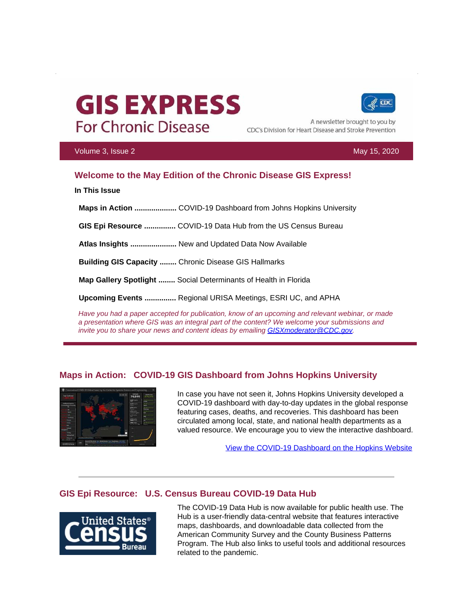# **GIS EXPRESS For Chronic Disease**



A newsletter brought to you by CDC's Division for Heart Disease and Stroke Prevention

#### Volume 3, Issue 2 May 15, 2020

# **Welcome to the May Edition of the Chronic Disease GIS Express!**

**In This Issue**

**Maps in Action ....................** COVID-19 Dashboard from Johns Hopkins University

**GIS Epi Resource ...............** COVID-19 Data Hub from the US Census Bureau

**Atlas Insights ......................** New and Updated Data Now Available

**Building GIS Capacity ........** Chronic Disease GIS Hallmarks

**Map Gallery Spotlight ........** Social Determinants of Health in Florida

**Upcoming Events ...............** Regional URISA Meetings, ESRI UC, and APHA

*Have you had a paper accepted for publication, know of an upcoming and relevant webinar, or made a presentation where GIS was an integral part of the content? We welcome your submissions and invite you to share your news and content ideas by emailing [GISXmoderator@CDC.gov.](mailto:GISXmoderator@CDC.gov)* 

# **Maps in Action: COVID-19 GIS Dashboard from Johns Hopkins University**



In case you have not seen it, Johns Hopkins University developed a COVID-19 dashboard with day-to-day updates in the global response featuring cases, deaths, and recoveries. This dashboard has been circulated among local, state, and national health departments as a valued resource. We encourage you to view the interactive dashboard.

[View the COVID-19 Dashboard on the Hopkins Website](https://t.emailupdates.cdc.gov/r/?id=h188161b6,11608b10,11688dc8)

# **GIS Epi Resource: U.S. Census Bureau COVID-19 Data Hub**



The COVID-19 Data Hub is now available for public health use. The Hub is a user-friendly data-central website that features interactive maps, dashboards, and downloadable data collected from the American Community Survey and the County Business Patterns Program. The Hub also links to useful tools and additional resources related to the pandemic.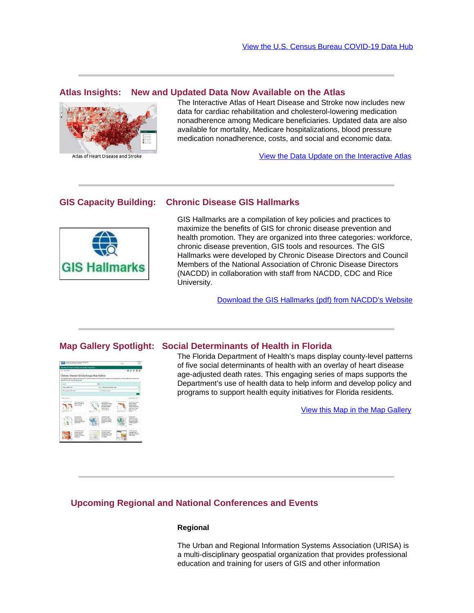#### **Atlas Insights: New and Updated Data Now Available on the Atlas**



The Interactive Atlas of Heart Disease and Stroke now includes new data for cardiac rehabilitation and cholesterol-lowering medication nonadherence among Medicare beneficiaries. Updated data are also available for mortality, Medicare hospitalizations, blood pressure medication nonadherence, costs, and social and economic data.

[View the Data Update on the Interactive Atlas](https://t.emailupdates.cdc.gov/r/?id=h188161b6,11608b10,11688dd0)

#### **GIS Capacity Building: Chronic Disease GIS Hallmarks**



GIS Hallmarks are a compilation of key policies and practices to maximize the benefits of GIS for chronic disease prevention and health promotion. They are organized into three categories: workforce, chronic disease prevention, GIS tools and resources. The GIS Hallmarks were developed by Chronic Disease Directors and Council Members of the National Association of Chronic Disease Directors (NACDD) in collaboration with staff from NACDD, CDC and Rice University.

[Download the GIS Hallmarks \(pdf\) from NACDD's Website](https://t.emailupdates.cdc.gov/r/?id=h188161b6,11608b10,11688dd2)

# **Map Gallery Spotlight: Social Determinants of Health in Florida**



The Florida Department of Health's maps display county-level patterns of five social determinants of health with an overlay of heart disease age-adjusted death rates. This engaging series of maps supports the Department's use of health data to help inform and develop policy and programs to support health equity initiatives for Florida residents.

[View this Map in the Map Gallery](https://t.emailupdates.cdc.gov/r/?id=h188161b6,11608b10,11688dd3)

## **Upcoming Regional and National Conferences and Events**

### **Regional**

The Urban and Regional Information Systems Association (URISA) is a multi-disciplinary geospatial organization that provides professional education and training for users of GIS and other information